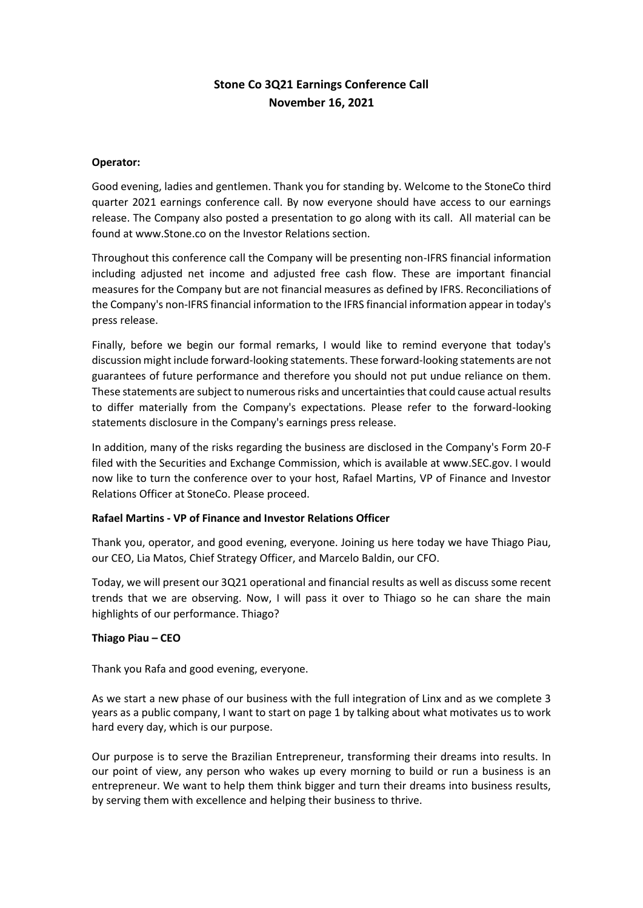# **Stone Co 3Q21 Earnings Conference Call November 16, 2021**

### **Operator:**

Good evening, ladies and gentlemen. Thank you for standing by. Welcome to the StoneCo third quarter 2021 earnings conference call. By now everyone should have access to our earnings release. The Company also posted a presentation to go along with its call. All material can be found at www.Stone.co on the Investor Relations section.

Throughout this conference call the Company will be presenting non-IFRS financial information including adjusted net income and adjusted free cash flow. These are important financial measures for the Company but are not financial measures as defined by IFRS. Reconciliations of the Company's non-IFRS financial information to the IFRS financial information appear in today's press release.

Finally, before we begin our formal remarks, I would like to remind everyone that today's discussion might include forward-looking statements. These forward-looking statements are not guarantees of future performance and therefore you should not put undue reliance on them. These statements are subject to numerous risks and uncertainties that could cause actual results to differ materially from the Company's expectations. Please refer to the forward-looking statements disclosure in the Company's earnings press release.

In addition, many of the risks regarding the business are disclosed in the Company's Form 20-F filed with the Securities and Exchange Commission, which is available at www.SEC.gov. I would now like to turn the conference over to your host, Rafael Martins, VP of Finance and Investor Relations Officer at StoneCo. Please proceed.

## **Rafael Martins - VP of Finance and Investor Relations Officer**

Thank you, operator, and good evening, everyone. Joining us here today we have Thiago Piau, our CEO, Lia Matos, Chief Strategy Officer, and Marcelo Baldin, our CFO.

Today, we will present our 3Q21 operational and financial results as well as discuss some recent trends that we are observing. Now, I will pass it over to Thiago so he can share the main highlights of our performance. Thiago?

### **Thiago Piau – CEO**

Thank you Rafa and good evening, everyone.

As we start a new phase of our business with the full integration of Linx and as we complete 3 years as a public company, I want to start on page 1 by talking about what motivates us to work hard every day, which is our purpose.

Our purpose is to serve the Brazilian Entrepreneur, transforming their dreams into results. In our point of view, any person who wakes up every morning to build or run a business is an entrepreneur. We want to help them think bigger and turn their dreams into business results, by serving them with excellence and helping their business to thrive.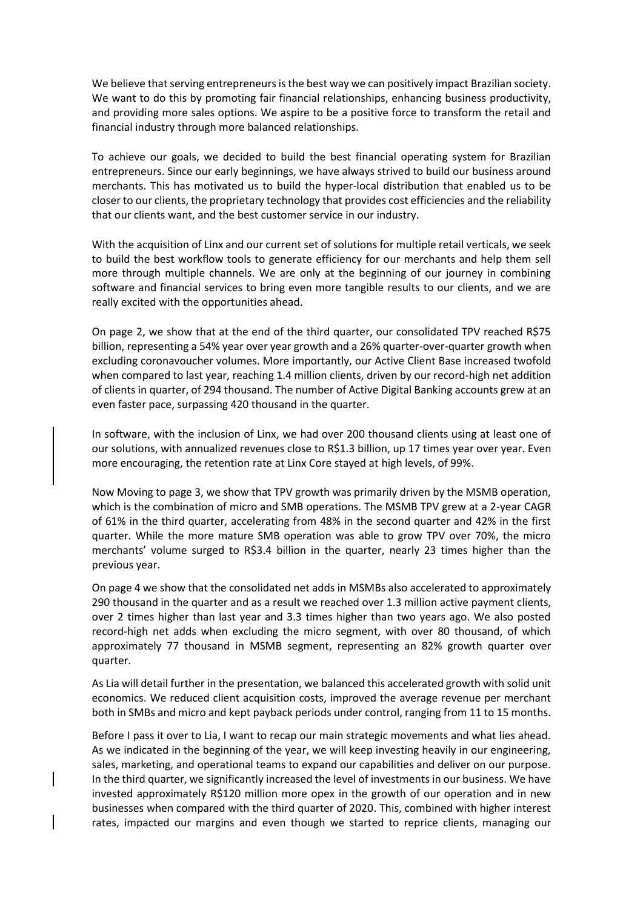We believe that serving entrepreneurs is the best way we can positively impact Brazilian society. We want to do this by promoting fair financial relationships, enhancing business productivity, and providing more sales options. We aspire to be a positive force to transform the retail and financial industry through more balanced relationships.

To achieve our goals, we decided to build the best financial operating system for Brazilian entrepreneurs. Since our early beginnings, we have always strived to build our business around merchants. This has motivated us to build the hyper-local distribution that enabled us to be closer to our clients, the proprietary technology that provides cost efficiencies and the reliability that our clients want, and the best customer service in our industry.

With the acquisition of Linx and our current set of solutions for multiple retail verticals, we seek to build the best workflow tools to generate efficiency for our merchants and help them sell more through multiple channels. We are only at the beginning of our journey in combining software and financial services to bring even more tangible results to our clients, and we are really excited with the opportunities ahead.

On page 2, we show that at the end of the third quarter, our consolidated TPV reached R\$75 billion, representing a 54% year over year growth and a 26% quarter-over-quarter growth when excluding coronavoucher volumes. More importantly, our Active Client Base increased twofold when compared to last year, reaching 1.4 million clients, driven by our record-high net addition of clients in quarter, of 294 thousand. The number of Active Digital Banking accounts grew at an even faster pace, surpassing 420 thousand in the quarter.

In software, with the inclusion of Linx, we had over 200 thousand clients using at least one of our solutions, with annualized revenues close to R\$1.3 billion, up 17 times year over year. Even more encouraging, the retention rate at Linx Core stayed at high levels, of 99%.

Now Moving to page 3, we show that TPV growth was primarily driven by the MSMB operation, which is the combination of micro and SMB operations. The MSMB TPV grew at a 2-year CAGR of 61% in the third quarter, accelerating from 48% in the second quarter and 42% in the first quarter. While the more mature SMB operation was able to grow TPV over 70%, the micro merchants' volume surged to R\$3.4 billion in the quarter, nearly 23 times higher than the previous year.

On page 4 we show that the consolidated net adds in MSMBs also accelerated to approximately 290 thousand in the quarter and as a result we reached over 1.3 million active payment clients, over 2 times higher than last year and 3.3 times higher than two years ago. We also posted record-high net adds when excluding the micro segment, with over 80 thousand, of which approximately 77 thousand in MSMB segment, representing an 82% growth quarter over quarter.

As Lia will detail further in the presentation, we balanced this accelerated growth with solid unit economics. We reduced client acquisition costs, improved the average revenue per merchant both in SMBs and micro and kept payback periods under control, ranging from 11 to 15 months.

Before I pass it over to Lia, I want to recap our main strategic movements and what lies ahead. As we indicated in the beginning of the year, we will keep investing heavily in our engineering, sales, marketing, and operational teams to expand our capabilities and deliver on our purpose. In the third quarter, we significantly increased the level of investments in our business. We have invested approximately R\$120 million more opex in the growth of our operation and in new businesses when compared with the third quarter of 2020. This, combined with higher interest rates, impacted our margins and even though we started to reprice clients, managing our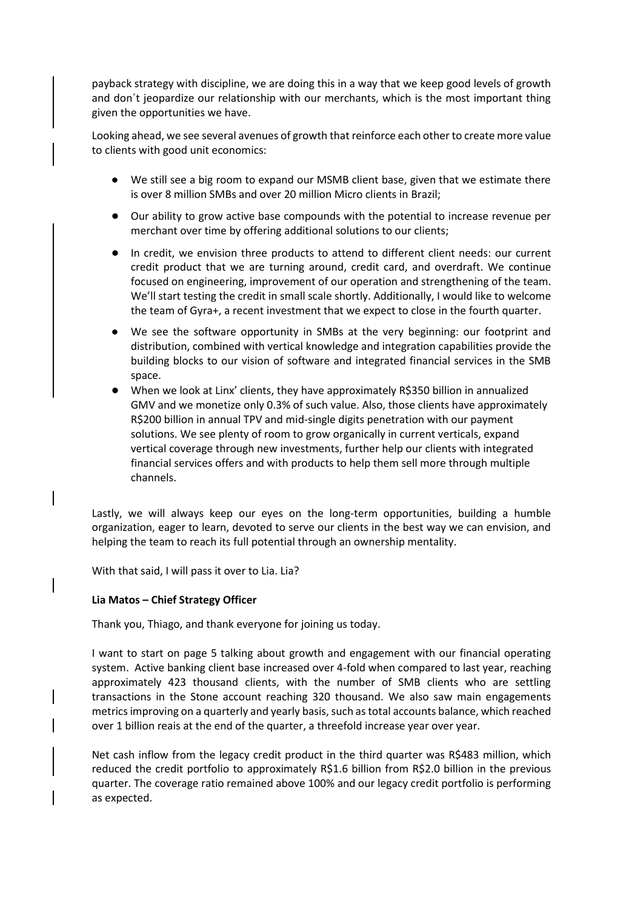payback strategy with discipline, we are doing this in a way that we keep good levels of growth and don´t jeopardize our relationship with our merchants, which is the most important thing given the opportunities we have.

Looking ahead, we see several avenues of growth that reinforce each other to create more value to clients with good unit economics:

- We still see a big room to expand our MSMB client base, given that we estimate there is over 8 million SMBs and over 20 million Micro clients in Brazil;
- Our ability to grow active base compounds with the potential to increase revenue per merchant over time by offering additional solutions to our clients;
- In credit, we envision three products to attend to different client needs: our current credit product that we are turning around, credit card, and overdraft. We continue focused on engineering, improvement of our operation and strengthening of the team. We'll start testing the credit in small scale shortly. Additionally, I would like to welcome the team of Gyra+, a recent investment that we expect to close in the fourth quarter.
- We see the software opportunity in SMBs at the very beginning: our footprint and distribution, combined with vertical knowledge and integration capabilities provide the building blocks to our vision of software and integrated financial services in the SMB space.
- When we look at Linx' clients, they have approximately R\$350 billion in annualized GMV and we monetize only 0.3% of such value. Also, those clients have approximately R\$200 billion in annual TPV and mid-single digits penetration with our payment solutions. We see plenty of room to grow organically in current verticals, expand vertical coverage through new investments, further help our clients with integrated financial services offers and with products to help them sell more through multiple channels.

Lastly, we will always keep our eyes on the long-term opportunities, building a humble organization, eager to learn, devoted to serve our clients in the best way we can envision, and helping the team to reach its full potential through an ownership mentality.

With that said, I will pass it over to Lia. Lia?

### **Lia Matos – Chief Strategy Officer**

Thank you, Thiago, and thank everyone for joining us today.

I want to start on page 5 talking about growth and engagement with our financial operating system. Active banking client base increased over 4-fold when compared to last year, reaching approximately 423 thousand clients, with the number of SMB clients who are settling transactions in the Stone account reaching 320 thousand. We also saw main engagements metrics improving on a quarterly and yearly basis, such as total accounts balance, which reached over 1 billion reais at the end of the quarter, a threefold increase year over year.

Net cash inflow from the legacy credit product in the third quarter was R\$483 million, which reduced the credit portfolio to approximately R\$1.6 billion from R\$2.0 billion in the previous quarter. The coverage ratio remained above 100% and our legacy credit portfolio is performing as expected.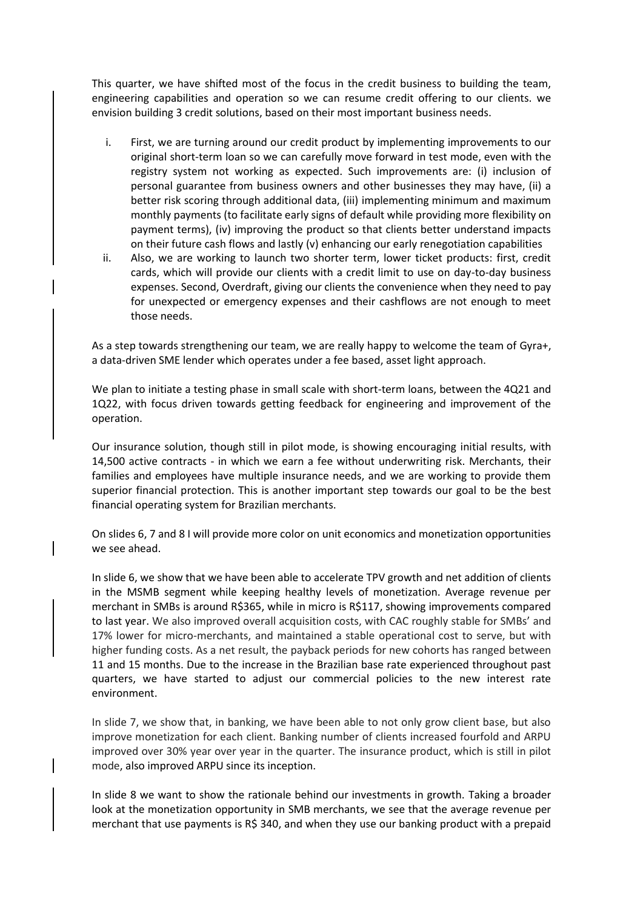This quarter, we have shifted most of the focus in the credit business to building the team, engineering capabilities and operation so we can resume credit offering to our clients. we envision building 3 credit solutions, based on their most important business needs.

- i. First, we are turning around our credit product by implementing improvements to our original short-term loan so we can carefully move forward in test mode, even with the registry system not working as expected. Such improvements are: (i) inclusion of personal guarantee from business owners and other businesses they may have, (ii) a better risk scoring through additional data, (iii) implementing minimum and maximum monthly payments (to facilitate early signs of default while providing more flexibility on payment terms), (iv) improving the product so that clients better understand impacts on their future cash flows and lastly (v) enhancing our early renegotiation capabilities
- ii. Also, we are working to launch two shorter term, lower ticket products: first, credit cards, which will provide our clients with a credit limit to use on day-to-day business expenses. Second, Overdraft, giving our clients the convenience when they need to pay for unexpected or emergency expenses and their cashflows are not enough to meet those needs.

As a step towards strengthening our team, we are really happy to welcome the team of Gyra+, a data-driven SME lender which operates under a fee based, asset light approach.

We plan to initiate a testing phase in small scale with short-term loans, between the 4Q21 and 1Q22, with focus driven towards getting feedback for engineering and improvement of the operation.

Our insurance solution, though still in pilot mode, is showing encouraging initial results, with 14,500 active contracts - in which we earn a fee without underwriting risk. Merchants, their families and employees have multiple insurance needs, and we are working to provide them superior financial protection. This is another important step towards our goal to be the best financial operating system for Brazilian merchants.

On slides 6, 7 and 8 I will provide more color on unit economics and monetization opportunities we see ahead.

In slide 6, we show that we have been able to accelerate TPV growth and net addition of clients in the MSMB segment while keeping healthy levels of monetization. Average revenue per merchant in SMBs is around R\$365, while in micro is R\$117, showing improvements compared to last year. We also improved overall acquisition costs, with CAC roughly stable for SMBs' and 17% lower for micro-merchants, and maintained a stable operational cost to serve, but with higher funding costs. As a net result, the payback periods for new cohorts has ranged between 11 and 15 months. Due to the increase in the Brazilian base rate experienced throughout past quarters, we have started to adjust our commercial policies to the new interest rate environment.

In slide 7, we show that, in banking, we have been able to not only grow client base, but also improve monetization for each client. Banking number of clients increased fourfold and ARPU improved over 30% year over year in the quarter. The insurance product, which is still in pilot mode, also improved ARPU since its inception.

In slide 8 we want to show the rationale behind our investments in growth. Taking a broader look at the monetization opportunity in SMB merchants, we see that the average revenue per merchant that use payments is R\$ 340, and when they use our banking product with a prepaid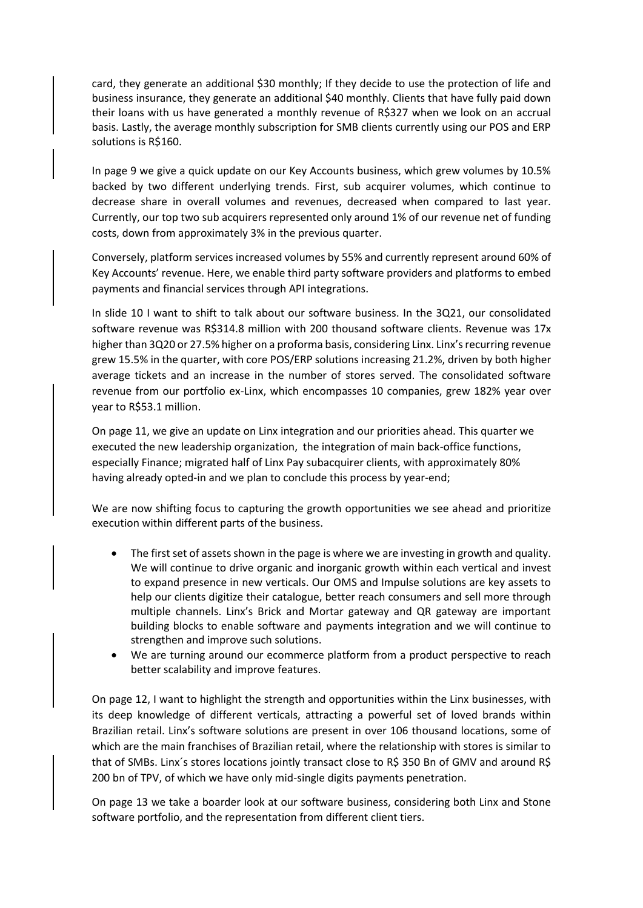card, they generate an additional \$30 monthly; If they decide to use the protection of life and business insurance, they generate an additional \$40 monthly. Clients that have fully paid down their loans with us have generated a monthly revenue of R\$327 when we look on an accrual basis. Lastly, the average monthly subscription for SMB clients currently using our POS and ERP solutions is R\$160.

In page 9 we give a quick update on our Key Accounts business, which grew volumes by 10.5% backed by two different underlying trends. First, sub acquirer volumes, which continue to decrease share in overall volumes and revenues, decreased when compared to last year. Currently, our top two sub acquirers represented only around 1% of our revenue net of funding costs, down from approximately 3% in the previous quarter.

Conversely, platform services increased volumes by 55% and currently represent around 60% of Key Accounts' revenue. Here, we enable third party software providers and platforms to embed payments and financial services through API integrations.

In slide 10 I want to shift to talk about our software business. In the 3Q21, our consolidated software revenue was R\$314.8 million with 200 thousand software clients. Revenue was 17x higher than 3Q20 or 27.5% higher on a proforma basis, considering Linx. Linx's recurring revenue grew 15.5% in the quarter, with core POS/ERP solutions increasing 21.2%, driven by both higher average tickets and an increase in the number of stores served. The consolidated software revenue from our portfolio ex-Linx, which encompasses 10 companies, grew 182% year over year to R\$53.1 million.

On page 11, we give an update on Linx integration and our priorities ahead. This quarter we executed the new leadership organization, the integration of main back-office functions, especially Finance; migrated half of Linx Pay subacquirer clients, with approximately 80% having already opted-in and we plan to conclude this process by year-end;

We are now shifting focus to capturing the growth opportunities we see ahead and prioritize execution within different parts of the business.

- The first set of assets shown in the page is where we are investing in growth and quality. We will continue to drive organic and inorganic growth within each vertical and invest to expand presence in new verticals. Our OMS and Impulse solutions are key assets to help our clients digitize their catalogue, better reach consumers and sell more through multiple channels. Linx's Brick and Mortar gateway and QR gateway are important building blocks to enable software and payments integration and we will continue to strengthen and improve such solutions.
- We are turning around our ecommerce platform from a product perspective to reach better scalability and improve features.

On page 12, I want to highlight the strength and opportunities within the Linx businesses, with its deep knowledge of different verticals, attracting a powerful set of loved brands within Brazilian retail. Linx's software solutions are present in over 106 thousand locations, some of which are the main franchises of Brazilian retail, where the relationship with stores is similar to that of SMBs. Linx's stores locations jointly transact close to R\$ 350 Bn of GMV and around R\$ 200 bn of TPV, of which we have only mid-single digits payments penetration.

On page 13 we take a boarder look at our software business, considering both Linx and Stone software portfolio, and the representation from different client tiers.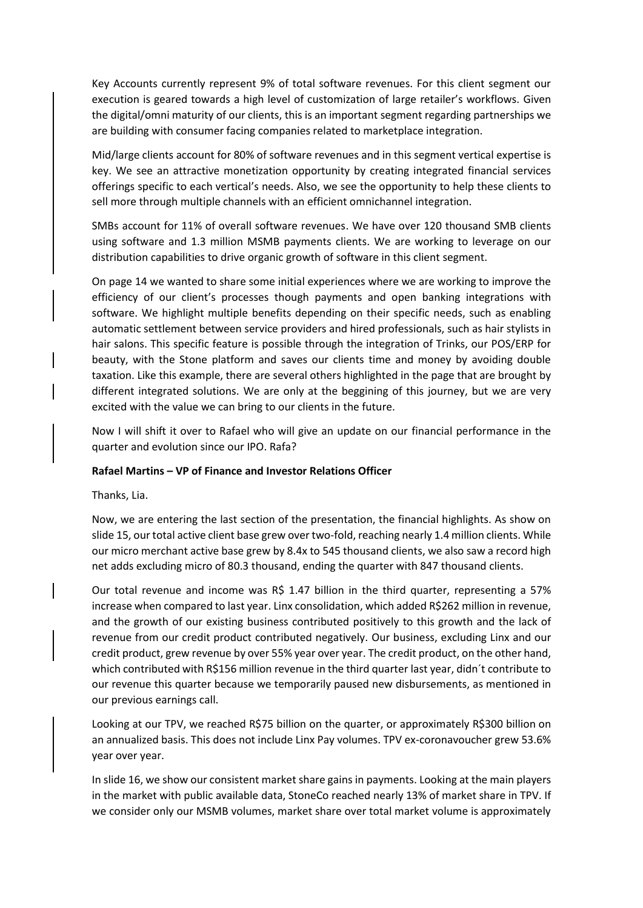Key Accounts currently represent 9% of total software revenues. For this client segment our execution is geared towards a high level of customization of large retailer's workflows. Given the digital/omni maturity of our clients, this is an important segment regarding partnerships we are building with consumer facing companies related to marketplace integration.

Mid/large clients account for 80% of software revenues and in this segment vertical expertise is key. We see an attractive monetization opportunity by creating integrated financial services offerings specific to each vertical's needs. Also, we see the opportunity to help these clients to sell more through multiple channels with an efficient omnichannel integration.

SMBs account for 11% of overall software revenues. We have over 120 thousand SMB clients using software and 1.3 million MSMB payments clients. We are working to leverage on our distribution capabilities to drive organic growth of software in this client segment.

On page 14 we wanted to share some initial experiences where we are working to improve the efficiency of our client's processes though payments and open banking integrations with software. We highlight multiple benefits depending on their specific needs, such as enabling automatic settlement between service providers and hired professionals, such as hair stylists in hair salons. This specific feature is possible through the integration of Trinks, our POS/ERP for beauty, with the Stone platform and saves our clients time and money by avoiding double taxation. Like this example, there are several others highlighted in the page that are brought by different integrated solutions. We are only at the beggining of this journey, but we are very excited with the value we can bring to our clients in the future.

Now I will shift it over to Rafael who will give an update on our financial performance in the quarter and evolution since our IPO. Rafa?

### **Rafael Martins – VP of Finance and Investor Relations Officer**

Thanks, Lia.

Now, we are entering the last section of the presentation, the financial highlights. As show on slide 15, our total active client base grew over two-fold, reaching nearly 1.4 million clients. While our micro merchant active base grew by 8.4x to 545 thousand clients, we also saw a record high net adds excluding micro of 80.3 thousand, ending the quarter with 847 thousand clients.

Our total revenue and income was R\$ 1.47 billion in the third quarter, representing a 57% increase when compared to last year. Linx consolidation, which added R\$262 million in revenue, and the growth of our existing business contributed positively to this growth and the lack of revenue from our credit product contributed negatively. Our business, excluding Linx and our credit product, grew revenue by over 55% year over year. The credit product, on the other hand, which contributed with R\$156 million revenue in the third quarter last year, didn´t contribute to our revenue this quarter because we temporarily paused new disbursements, as mentioned in our previous earnings call.

Looking at our TPV, we reached R\$75 billion on the quarter, or approximately R\$300 billion on an annualized basis. This does not include Linx Pay volumes. TPV ex-coronavoucher grew 53.6% year over year.

In slide 16, we show our consistent market share gains in payments. Looking at the main players in the market with public available data, StoneCo reached nearly 13% of market share in TPV. If we consider only our MSMB volumes, market share over total market volume is approximately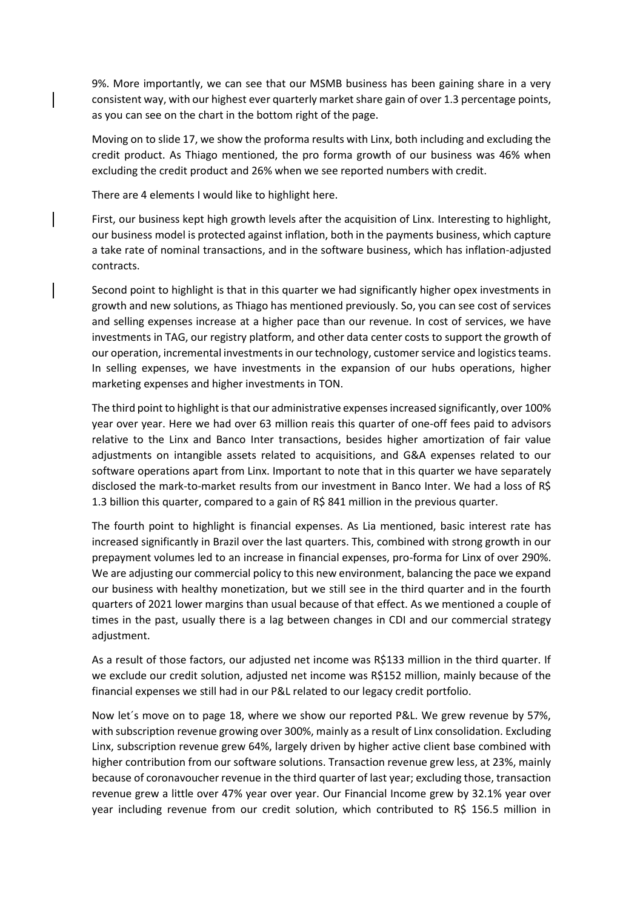9%. More importantly, we can see that our MSMB business has been gaining share in a very consistent way, with our highest ever quarterly market share gain of over 1.3 percentage points, as you can see on the chart in the bottom right of the page.

Moving on to slide 17, we show the proforma results with Linx, both including and excluding the credit product. As Thiago mentioned, the pro forma growth of our business was 46% when excluding the credit product and 26% when we see reported numbers with credit.

There are 4 elements I would like to highlight here.

First, our business kept high growth levels after the acquisition of Linx. Interesting to highlight, our business model is protected against inflation, both in the payments business, which capture a take rate of nominal transactions, and in the software business, which has inflation-adjusted contracts.

Second point to highlight is that in this quarter we had significantly higher opex investments in growth and new solutions, as Thiago has mentioned previously. So, you can see cost of services and selling expenses increase at a higher pace than our revenue. In cost of services, we have investments in TAG, our registry platform, and other data center costs to support the growth of our operation, incremental investments in our technology, customer service and logistics teams. In selling expenses, we have investments in the expansion of our hubs operations, higher marketing expenses and higher investments in TON.

The third point to highlight is that our administrative expenses increased significantly, over 100% year over year. Here we had over 63 million reais this quarter of one-off fees paid to advisors relative to the Linx and Banco Inter transactions, besides higher amortization of fair value adjustments on intangible assets related to acquisitions, and G&A expenses related to our software operations apart from Linx. Important to note that in this quarter we have separately disclosed the mark-to-market results from our investment in Banco Inter. We had a loss of R\$ 1.3 billion this quarter, compared to a gain of R\$ 841 million in the previous quarter.

The fourth point to highlight is financial expenses. As Lia mentioned, basic interest rate has increased significantly in Brazil over the last quarters. This, combined with strong growth in our prepayment volumes led to an increase in financial expenses, pro-forma for Linx of over 290%. We are adjusting our commercial policy to this new environment, balancing the pace we expand our business with healthy monetization, but we still see in the third quarter and in the fourth quarters of 2021 lower margins than usual because of that effect. As we mentioned a couple of times in the past, usually there is a lag between changes in CDI and our commercial strategy adjustment.

As a result of those factors, our adjusted net income was R\$133 million in the third quarter. If we exclude our credit solution, adjusted net income was R\$152 million, mainly because of the financial expenses we still had in our P&L related to our legacy credit portfolio.

Now let´s move on to page 18, where we show our reported P&L. We grew revenue by 57%, with subscription revenue growing over 300%, mainly as a result of Linx consolidation. Excluding Linx, subscription revenue grew 64%, largely driven by higher active client base combined with higher contribution from our software solutions. Transaction revenue grew less, at 23%, mainly because of coronavoucher revenue in the third quarter of last year; excluding those, transaction revenue grew a little over 47% year over year. Our Financial Income grew by 32.1% year over year including revenue from our credit solution, which contributed to R\$ 156.5 million in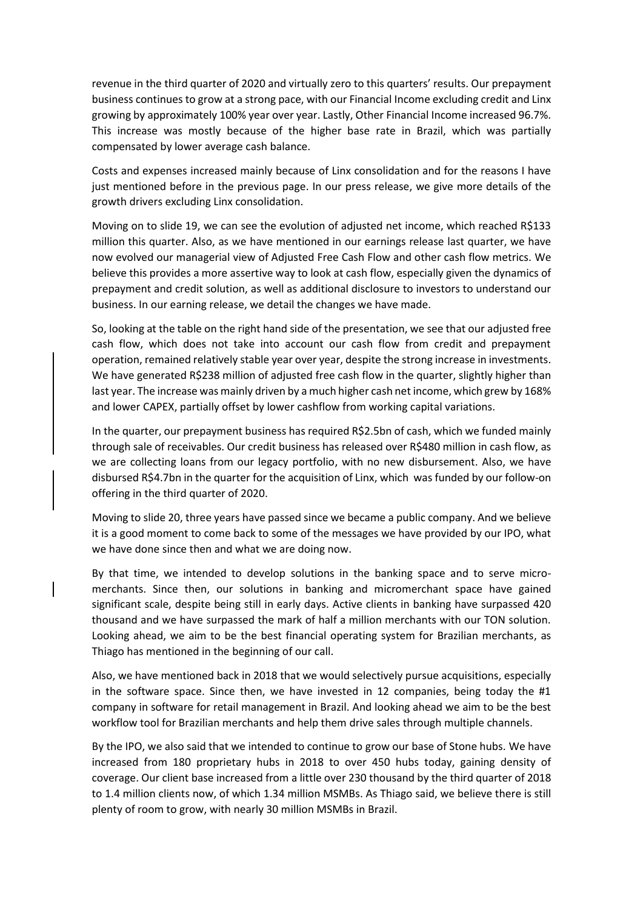revenue in the third quarter of 2020 and virtually zero to this quarters' results. Our prepayment business continues to grow at a strong pace, with our Financial Income excluding credit and Linx growing by approximately 100% year over year. Lastly, Other Financial Income increased 96.7%. This increase was mostly because of the higher base rate in Brazil, which was partially compensated by lower average cash balance.

Costs and expenses increased mainly because of Linx consolidation and for the reasons I have just mentioned before in the previous page. In our press release, we give more details of the growth drivers excluding Linx consolidation.

Moving on to slide 19, we can see the evolution of adjusted net income, which reached R\$133 million this quarter. Also, as we have mentioned in our earnings release last quarter, we have now evolved our managerial view of Adjusted Free Cash Flow and other cash flow metrics. We believe this provides a more assertive way to look at cash flow, especially given the dynamics of prepayment and credit solution, as well as additional disclosure to investors to understand our business. In our earning release, we detail the changes we have made.

So, looking at the table on the right hand side of the presentation, we see that our adjusted free cash flow, which does not take into account our cash flow from credit and prepayment operation, remained relatively stable year over year, despite the strong increase in investments. We have generated R\$238 million of adjusted free cash flow in the quarter, slightly higher than last year. The increase was mainly driven by a much higher cash net income, which grew by 168% and lower CAPEX, partially offset by lower cashflow from working capital variations.

In the quarter, our prepayment business has required R\$2.5bn of cash, which we funded mainly through sale of receivables. Our credit business has released over R\$480 million in cash flow, as we are collecting loans from our legacy portfolio, with no new disbursement. Also, we have disbursed R\$4.7bn in the quarter for the acquisition of Linx, which was funded by our follow-on offering in the third quarter of 2020.

Moving to slide 20, three years have passed since we became a public company. And we believe it is a good moment to come back to some of the messages we have provided by our IPO, what we have done since then and what we are doing now.

By that time, we intended to develop solutions in the banking space and to serve micromerchants. Since then, our solutions in banking and micromerchant space have gained significant scale, despite being still in early days. Active clients in banking have surpassed 420 thousand and we have surpassed the mark of half a million merchants with our TON solution. Looking ahead, we aim to be the best financial operating system for Brazilian merchants, as Thiago has mentioned in the beginning of our call.

Also, we have mentioned back in 2018 that we would selectively pursue acquisitions, especially in the software space. Since then, we have invested in 12 companies, being today the  $#1$ company in software for retail management in Brazil. And looking ahead we aim to be the best workflow tool for Brazilian merchants and help them drive sales through multiple channels.

By the IPO, we also said that we intended to continue to grow our base of Stone hubs. We have increased from 180 proprietary hubs in 2018 to over 450 hubs today, gaining density of coverage. Our client base increased from a little over 230 thousand by the third quarter of 2018 to 1.4 million clients now, of which 1.34 million MSMBs. As Thiago said, we believe there is still plenty of room to grow, with nearly 30 million MSMBs in Brazil.